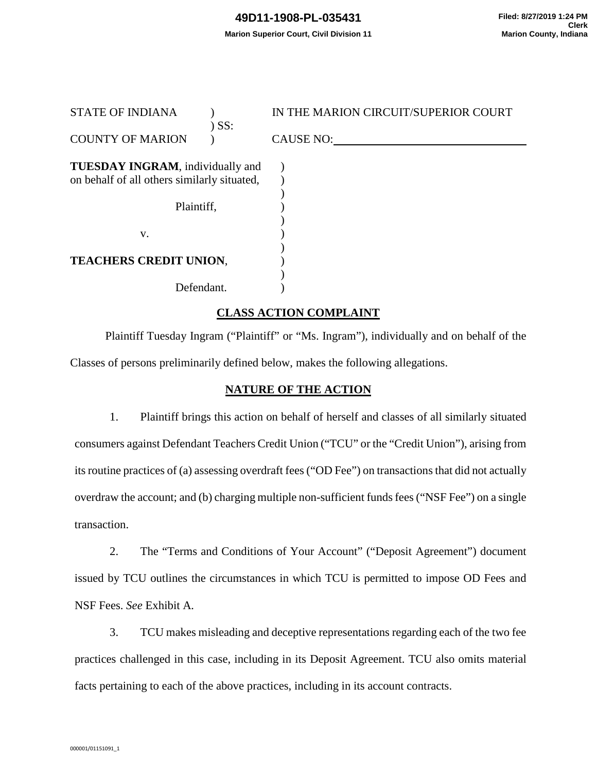| <b>STATE OF INDIANA</b>                     | IN THE MARION CIRCUIT/SUPERIOR COURT |
|---------------------------------------------|--------------------------------------|
| ) SS:<br><b>COUNTY OF MARION</b>            | <b>CAUSE NO:</b>                     |
|                                             |                                      |
| <b>TUESDAY INGRAM</b> , individually and    |                                      |
| on behalf of all others similarly situated, |                                      |
|                                             |                                      |
| Plaintiff,                                  |                                      |
|                                             |                                      |
| V.                                          |                                      |
|                                             |                                      |
| <b>TEACHERS CREDIT UNION,</b>               |                                      |
|                                             |                                      |
| Defendant.                                  |                                      |
|                                             |                                      |

# **CLASS ACTION COMPLAINT**

Plaintiff Tuesday Ingram ("Plaintiff" or "Ms. Ingram"), individually and on behalf of the Classes of persons preliminarily defined below, makes the following allegations.

### **NATURE OF THE ACTION**

1. Plaintiff brings this action on behalf of herself and classes of all similarly situated consumers against Defendant Teachers Credit Union ("TCU" or the "Credit Union"), arising from its routine practices of (a) assessing overdraft fees ("OD Fee") on transactions that did not actually overdraw the account; and (b) charging multiple non-sufficient funds fees ("NSF Fee") on a single transaction.

2. The "Terms and Conditions of Your Account" ("Deposit Agreement") document issued by TCU outlines the circumstances in which TCU is permitted to impose OD Fees and NSF Fees. *See* Exhibit A*.* 

3. TCU makes misleading and deceptive representations regarding each of the two fee practices challenged in this case, including in its Deposit Agreement. TCU also omits material facts pertaining to each of the above practices, including in its account contracts.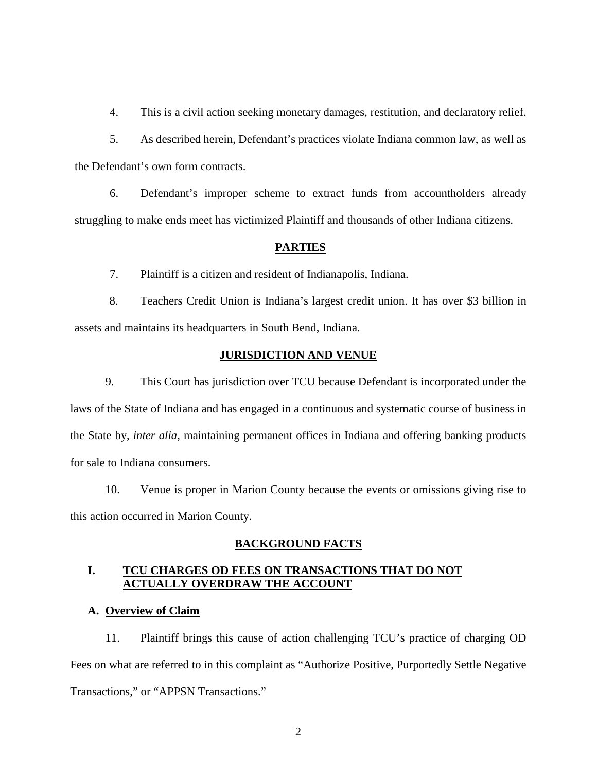4. This is a civil action seeking monetary damages, restitution, and declaratory relief.

5. As described herein, Defendant's practices violate Indiana common law, as well as the Defendant's own form contracts.

6. Defendant's improper scheme to extract funds from accountholders already struggling to make ends meet has victimized Plaintiff and thousands of other Indiana citizens.

## **PARTIES**

7. Plaintiff is a citizen and resident of Indianapolis, Indiana.

8. Teachers Credit Union is Indiana's largest credit union. It has over \$3 billion in assets and maintains its headquarters in South Bend, Indiana.

### **JURISDICTION AND VENUE**

9. This Court has jurisdiction over TCU because Defendant is incorporated under the laws of the State of Indiana and has engaged in a continuous and systematic course of business in the State by, *inter alia,* maintaining permanent offices in Indiana and offering banking products for sale to Indiana consumers.

10. Venue is proper in Marion County because the events or omissions giving rise to this action occurred in Marion County.

## **BACKGROUND FACTS**

# **I. TCU CHARGES OD FEES ON TRANSACTIONS THAT DO NOT ACTUALLY OVERDRAW THE ACCOUNT**

## **A. Overview of Claim**

11. Plaintiff brings this cause of action challenging TCU's practice of charging OD Fees on what are referred to in this complaint as "Authorize Positive, Purportedly Settle Negative Transactions," or "APPSN Transactions."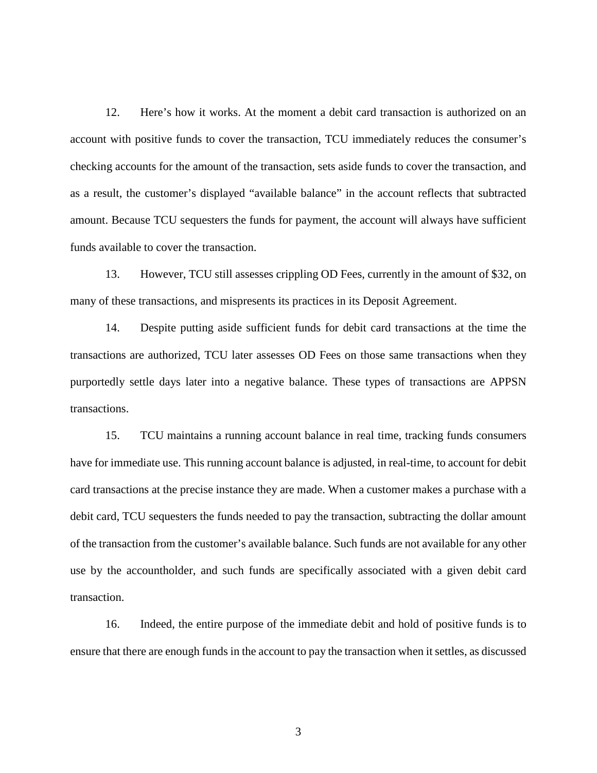12. Here's how it works. At the moment a debit card transaction is authorized on an account with positive funds to cover the transaction, TCU immediately reduces the consumer's checking accounts for the amount of the transaction, sets aside funds to cover the transaction, and as a result, the customer's displayed "available balance" in the account reflects that subtracted amount. Because TCU sequesters the funds for payment, the account will always have sufficient funds available to cover the transaction.

13. However, TCU still assesses crippling OD Fees, currently in the amount of \$32, on many of these transactions, and mispresents its practices in its Deposit Agreement.

14. Despite putting aside sufficient funds for debit card transactions at the time the transactions are authorized, TCU later assesses OD Fees on those same transactions when they purportedly settle days later into a negative balance. These types of transactions are APPSN transactions.

15. TCU maintains a running account balance in real time, tracking funds consumers have for immediate use. This running account balance is adjusted, in real-time, to account for debit card transactions at the precise instance they are made. When a customer makes a purchase with a debit card, TCU sequesters the funds needed to pay the transaction, subtracting the dollar amount of the transaction from the customer's available balance. Such funds are not available for any other use by the accountholder, and such funds are specifically associated with a given debit card transaction.

16. Indeed, the entire purpose of the immediate debit and hold of positive funds is to ensure that there are enough funds in the account to pay the transaction when it settles, as discussed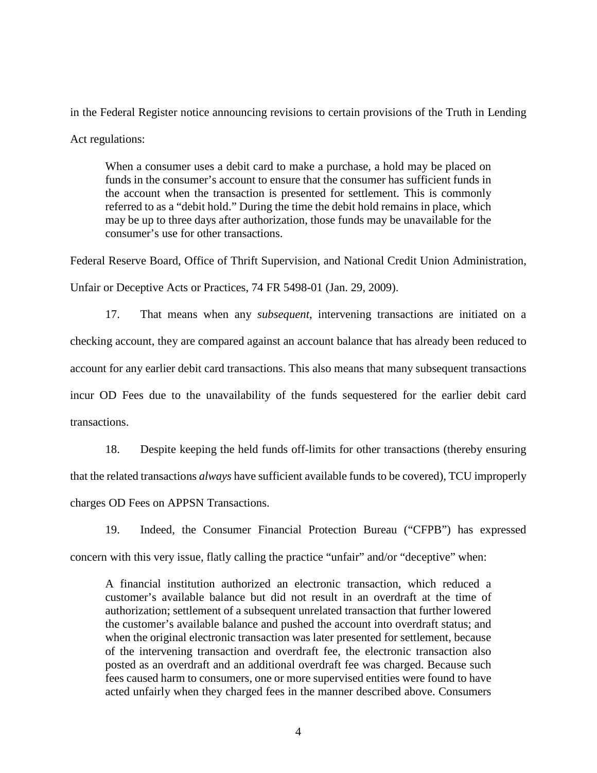in the Federal Register notice announcing revisions to certain provisions of the Truth in Lending Act regulations:

When a consumer uses a debit card to make a purchase, a hold may be placed on funds in the consumer's account to ensure that the consumer has sufficient funds in the account when the transaction is presented for settlement. This is commonly referred to as a "debit hold." During the time the debit hold remains in place, which may be up to three days after authorization, those funds may be unavailable for the consumer's use for other transactions.

Federal Reserve Board, Office of Thrift Supervision, and National Credit Union Administration, Unfair or Deceptive Acts or Practices, 74 FR 5498-01 (Jan. 29, 2009).

17. That means when any *subsequent*, intervening transactions are initiated on a checking account, they are compared against an account balance that has already been reduced to account for any earlier debit card transactions. This also means that many subsequent transactions incur OD Fees due to the unavailability of the funds sequestered for the earlier debit card transactions.

18. Despite keeping the held funds off-limits for other transactions (thereby ensuring that the related transactions *always* have sufficient available funds to be covered), TCU improperly charges OD Fees on APPSN Transactions.

19. Indeed, the Consumer Financial Protection Bureau ("CFPB") has expressed concern with this very issue, flatly calling the practice "unfair" and/or "deceptive" when:

A financial institution authorized an electronic transaction, which reduced a customer's available balance but did not result in an overdraft at the time of authorization; settlement of a subsequent unrelated transaction that further lowered the customer's available balance and pushed the account into overdraft status; and when the original electronic transaction was later presented for settlement, because of the intervening transaction and overdraft fee, the electronic transaction also posted as an overdraft and an additional overdraft fee was charged. Because such fees caused harm to consumers, one or more supervised entities were found to have acted unfairly when they charged fees in the manner described above. Consumers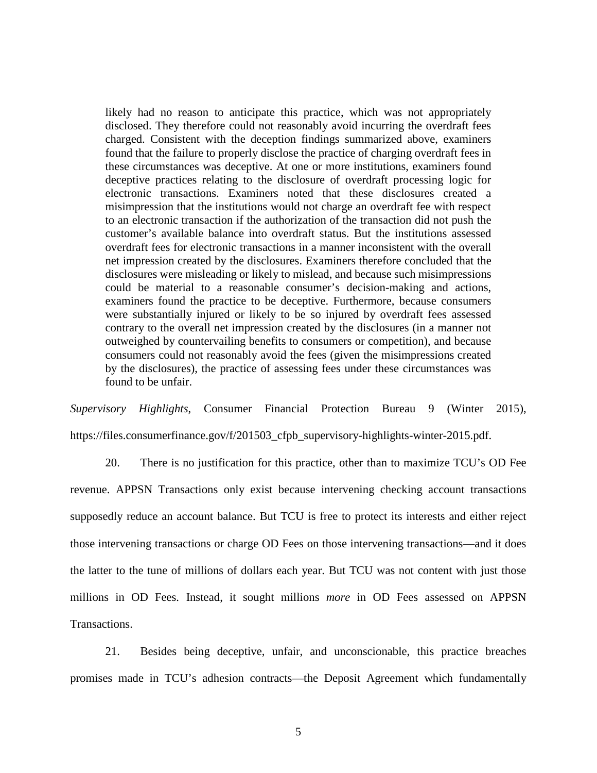likely had no reason to anticipate this practice, which was not appropriately disclosed. They therefore could not reasonably avoid incurring the overdraft fees charged. Consistent with the deception findings summarized above, examiners found that the failure to properly disclose the practice of charging overdraft fees in these circumstances was deceptive. At one or more institutions, examiners found deceptive practices relating to the disclosure of overdraft processing logic for electronic transactions. Examiners noted that these disclosures created a misimpression that the institutions would not charge an overdraft fee with respect to an electronic transaction if the authorization of the transaction did not push the customer's available balance into overdraft status. But the institutions assessed overdraft fees for electronic transactions in a manner inconsistent with the overall net impression created by the disclosures. Examiners therefore concluded that the disclosures were misleading or likely to mislead, and because such misimpressions could be material to a reasonable consumer's decision-making and actions, examiners found the practice to be deceptive. Furthermore, because consumers were substantially injured or likely to be so injured by overdraft fees assessed contrary to the overall net impression created by the disclosures (in a manner not outweighed by countervailing benefits to consumers or competition), and because consumers could not reasonably avoid the fees (given the misimpressions created by the disclosures), the practice of assessing fees under these circumstances was found to be unfair.

*Supervisory Highlights*, Consumer Financial Protection Bureau 9 (Winter 2015), https://files.consumerfinance.gov/f/201503\_cfpb\_supervisory-highlights-winter-2015.pdf.

20. There is no justification for this practice, other than to maximize TCU's OD Fee revenue. APPSN Transactions only exist because intervening checking account transactions supposedly reduce an account balance. But TCU is free to protect its interests and either reject those intervening transactions or charge OD Fees on those intervening transactions—and it does the latter to the tune of millions of dollars each year. But TCU was not content with just those millions in OD Fees. Instead, it sought millions *more* in OD Fees assessed on APPSN Transactions.

21. Besides being deceptive, unfair, and unconscionable, this practice breaches promises made in TCU's adhesion contracts—the Deposit Agreement which fundamentally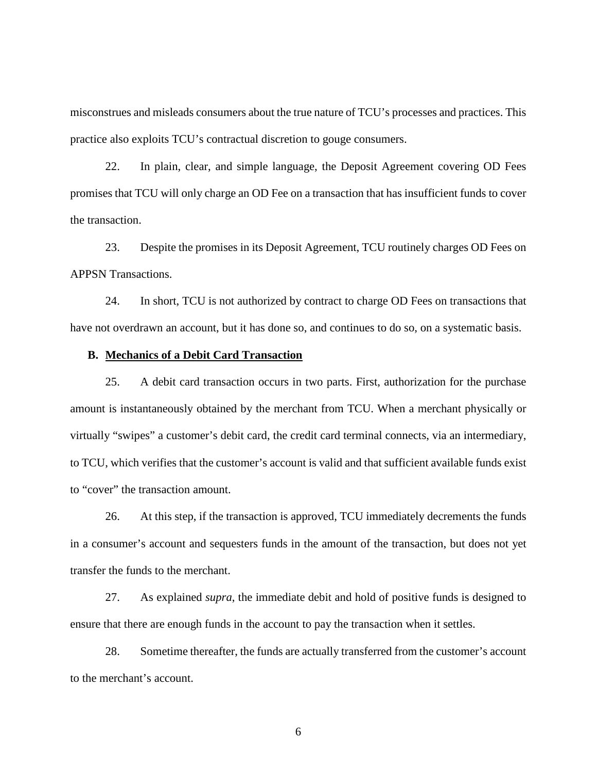misconstrues and misleads consumers about the true nature of TCU's processes and practices. This practice also exploits TCU's contractual discretion to gouge consumers.

22. In plain, clear, and simple language, the Deposit Agreement covering OD Fees promises that TCU will only charge an OD Fee on a transaction that has insufficient funds to cover the transaction.

23. Despite the promises in its Deposit Agreement, TCU routinely charges OD Fees on APPSN Transactions.

24. In short, TCU is not authorized by contract to charge OD Fees on transactions that have not overdrawn an account, but it has done so, and continues to do so, on a systematic basis.

#### **B. Mechanics of a Debit Card Transaction**

25. A debit card transaction occurs in two parts. First, authorization for the purchase amount is instantaneously obtained by the merchant from TCU. When a merchant physically or virtually "swipes" a customer's debit card, the credit card terminal connects, via an intermediary, to TCU, which verifies that the customer's account is valid and that sufficient available funds exist to "cover" the transaction amount.

26. At this step, if the transaction is approved, TCU immediately decrements the funds in a consumer's account and sequesters funds in the amount of the transaction, but does not yet transfer the funds to the merchant.

27. As explained *supra*, the immediate debit and hold of positive funds is designed to ensure that there are enough funds in the account to pay the transaction when it settles.

28. Sometime thereafter, the funds are actually transferred from the customer's account to the merchant's account.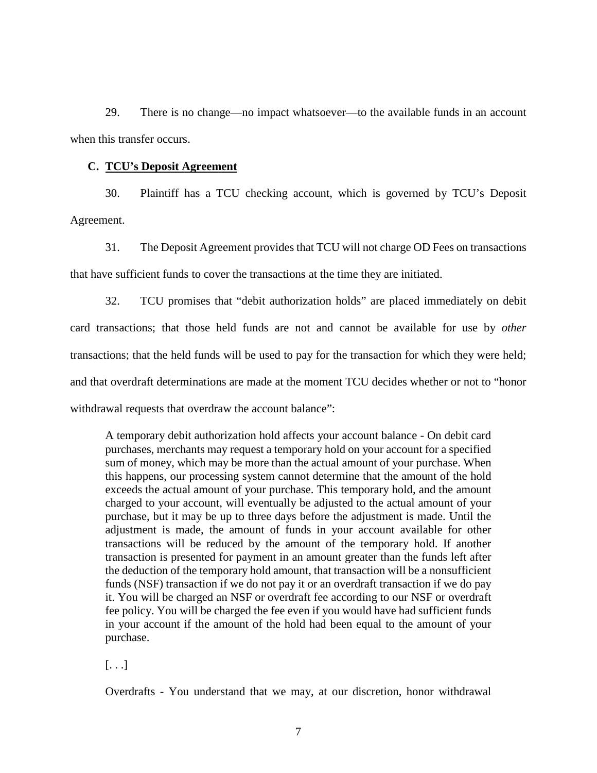29. There is no change—no impact whatsoever—to the available funds in an account when this transfer occurs.

### **C. TCU's Deposit Agreement**

30. Plaintiff has a TCU checking account, which is governed by TCU's Deposit Agreement.

31. The Deposit Agreement provides that TCU will not charge OD Fees on transactions that have sufficient funds to cover the transactions at the time they are initiated.

32. TCU promises that "debit authorization holds" are placed immediately on debit card transactions; that those held funds are not and cannot be available for use by *other* transactions; that the held funds will be used to pay for the transaction for which they were held; and that overdraft determinations are made at the moment TCU decides whether or not to "honor withdrawal requests that overdraw the account balance":

A temporary debit authorization hold affects your account balance - On debit card purchases, merchants may request a temporary hold on your account for a specified sum of money, which may be more than the actual amount of your purchase. When this happens, our processing system cannot determine that the amount of the hold exceeds the actual amount of your purchase. This temporary hold, and the amount charged to your account, will eventually be adjusted to the actual amount of your purchase, but it may be up to three days before the adjustment is made. Until the adjustment is made, the amount of funds in your account available for other transactions will be reduced by the amount of the temporary hold. If another transaction is presented for payment in an amount greater than the funds left after the deduction of the temporary hold amount, that transaction will be a nonsufficient funds (NSF) transaction if we do not pay it or an overdraft transaction if we do pay it. You will be charged an NSF or overdraft fee according to our NSF or overdraft fee policy. You will be charged the fee even if you would have had sufficient funds in your account if the amount of the hold had been equal to the amount of your purchase.

[. . .]

Overdrafts - You understand that we may, at our discretion, honor withdrawal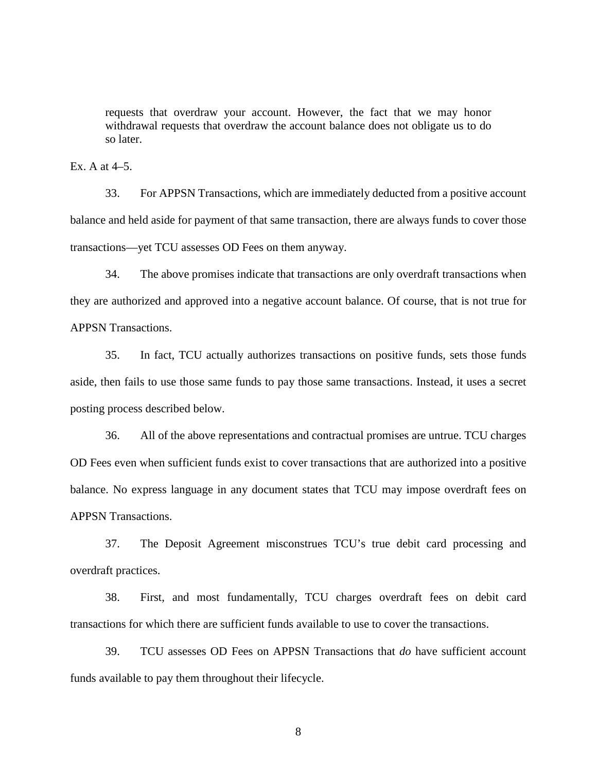requests that overdraw your account. However, the fact that we may honor withdrawal requests that overdraw the account balance does not obligate us to do so later.

Ex. A at  $4-5$ .

33. For APPSN Transactions, which are immediately deducted from a positive account balance and held aside for payment of that same transaction, there are always funds to cover those transactions—yet TCU assesses OD Fees on them anyway.

34. The above promises indicate that transactions are only overdraft transactions when they are authorized and approved into a negative account balance. Of course, that is not true for APPSN Transactions.

35. In fact, TCU actually authorizes transactions on positive funds, sets those funds aside, then fails to use those same funds to pay those same transactions. Instead, it uses a secret posting process described below.

36. All of the above representations and contractual promises are untrue. TCU charges OD Fees even when sufficient funds exist to cover transactions that are authorized into a positive balance. No express language in any document states that TCU may impose overdraft fees on APPSN Transactions.

37. The Deposit Agreement misconstrues TCU's true debit card processing and overdraft practices.

38. First, and most fundamentally, TCU charges overdraft fees on debit card transactions for which there are sufficient funds available to use to cover the transactions.

39. TCU assesses OD Fees on APPSN Transactions that *do* have sufficient account funds available to pay them throughout their lifecycle.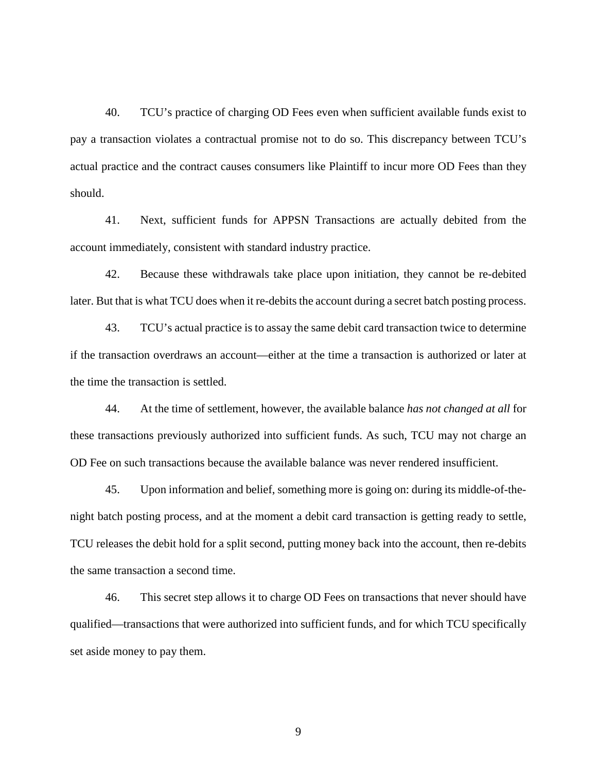40. TCU's practice of charging OD Fees even when sufficient available funds exist to pay a transaction violates a contractual promise not to do so. This discrepancy between TCU's actual practice and the contract causes consumers like Plaintiff to incur more OD Fees than they should.

41. Next, sufficient funds for APPSN Transactions are actually debited from the account immediately, consistent with standard industry practice.

42. Because these withdrawals take place upon initiation, they cannot be re-debited later. But that is what TCU does when it re-debits the account during a secret batch posting process.

43. TCU's actual practice is to assay the same debit card transaction twice to determine if the transaction overdraws an account—either at the time a transaction is authorized or later at the time the transaction is settled.

44. At the time of settlement, however, the available balance *has not changed at all* for these transactions previously authorized into sufficient funds. As such, TCU may not charge an OD Fee on such transactions because the available balance was never rendered insufficient.

45. Upon information and belief, something more is going on: during its middle-of-thenight batch posting process, and at the moment a debit card transaction is getting ready to settle, TCU releases the debit hold for a split second, putting money back into the account, then re-debits the same transaction a second time.

46. This secret step allows it to charge OD Fees on transactions that never should have qualified—transactions that were authorized into sufficient funds, and for which TCU specifically set aside money to pay them.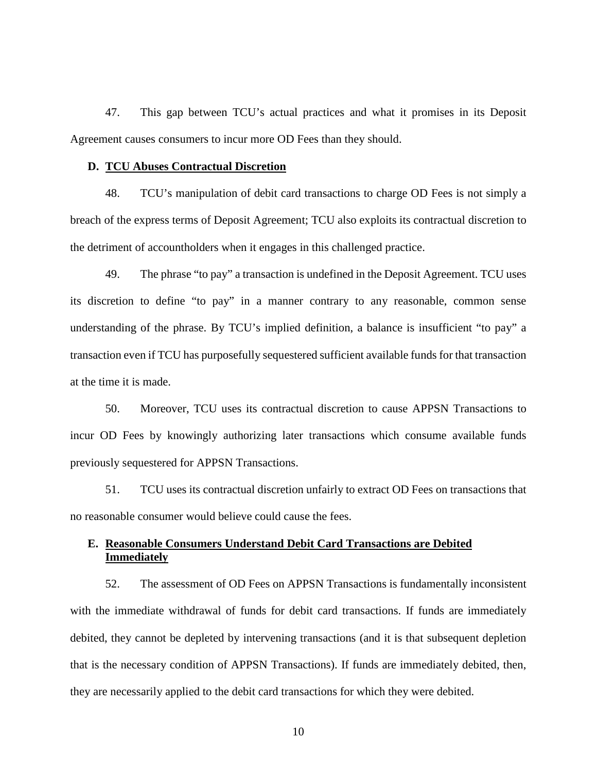47. This gap between TCU's actual practices and what it promises in its Deposit Agreement causes consumers to incur more OD Fees than they should.

#### **D. TCU Abuses Contractual Discretion**

48. TCU's manipulation of debit card transactions to charge OD Fees is not simply a breach of the express terms of Deposit Agreement; TCU also exploits its contractual discretion to the detriment of accountholders when it engages in this challenged practice.

49. The phrase "to pay" a transaction is undefined in the Deposit Agreement. TCU uses its discretion to define "to pay" in a manner contrary to any reasonable, common sense understanding of the phrase. By TCU's implied definition, a balance is insufficient "to pay" a transaction even if TCU has purposefully sequestered sufficient available funds for that transaction at the time it is made.

50. Moreover, TCU uses its contractual discretion to cause APPSN Transactions to incur OD Fees by knowingly authorizing later transactions which consume available funds previously sequestered for APPSN Transactions.

51. TCU uses its contractual discretion unfairly to extract OD Fees on transactions that no reasonable consumer would believe could cause the fees.

### **E. Reasonable Consumers Understand Debit Card Transactions are Debited Immediately**

52. The assessment of OD Fees on APPSN Transactions is fundamentally inconsistent with the immediate withdrawal of funds for debit card transactions. If funds are immediately debited, they cannot be depleted by intervening transactions (and it is that subsequent depletion that is the necessary condition of APPSN Transactions). If funds are immediately debited, then, they are necessarily applied to the debit card transactions for which they were debited.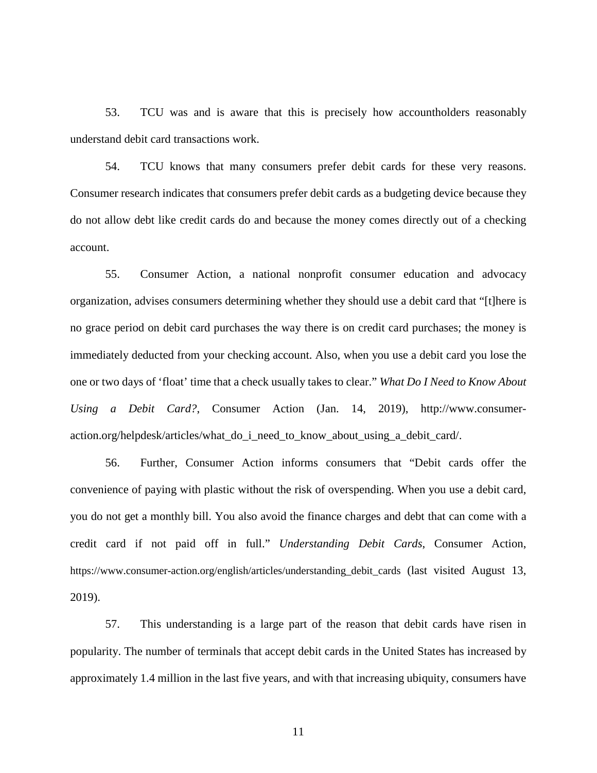53. TCU was and is aware that this is precisely how accountholders reasonably understand debit card transactions work.

54. TCU knows that many consumers prefer debit cards for these very reasons. Consumer research indicates that consumers prefer debit cards as a budgeting device because they do not allow debt like credit cards do and because the money comes directly out of a checking account.

55. Consumer Action, a national nonprofit consumer education and advocacy organization, advises consumers determining whether they should use a debit card that "[t]here is no grace period on debit card purchases the way there is on credit card purchases; the money is immediately deducted from your checking account. Also, when you use a debit card you lose the one or two days of 'float' time that a check usually takes to clear." *What Do I Need to Know About Using a Debit Card?*, Consumer Action (Jan. 14, 2019), http://www.consumeraction.org/helpdesk/articles/what\_do\_i\_need\_to\_know\_about\_using\_a\_debit\_card/.

56. Further, Consumer Action informs consumers that "Debit cards offer the convenience of paying with plastic without the risk of overspending. When you use a debit card, you do not get a monthly bill. You also avoid the finance charges and debt that can come with a credit card if not paid off in full." *Understanding Debit Cards*, Consumer Action, https://www.consumer-action.org/english/articles/understanding\_debit\_cards (last visited August 13, 2019).

57. This understanding is a large part of the reason that debit cards have risen in popularity. The number of terminals that accept debit cards in the United States has increased by approximately 1.4 million in the last five years, and with that increasing ubiquity, consumers have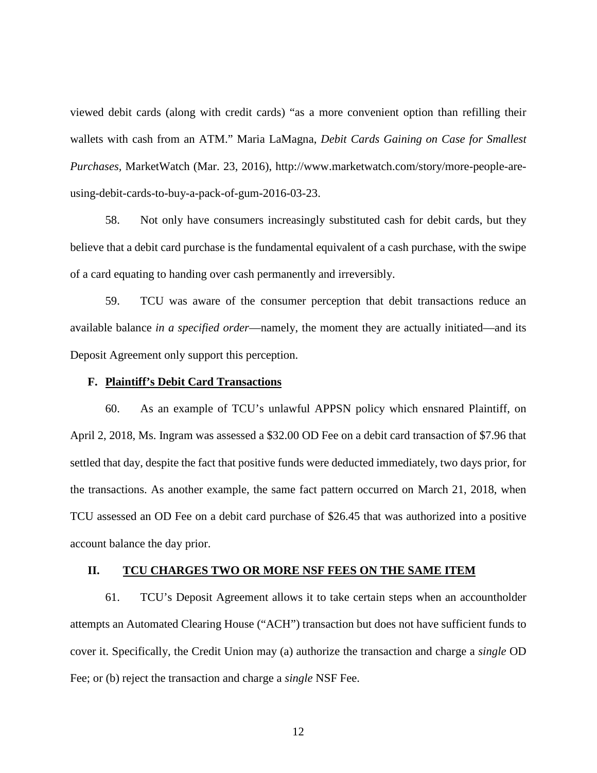viewed debit cards (along with credit cards) "as a more convenient option than refilling their wallets with cash from an ATM." Maria LaMagna, *Debit Cards Gaining on Case for Smallest Purchases,* MarketWatch (Mar. 23, 2016), http://www.marketwatch.com/story/more-people-areusing-debit-cards-to-buy-a-pack-of-gum-2016-03-23.

58. Not only have consumers increasingly substituted cash for debit cards, but they believe that a debit card purchase is the fundamental equivalent of a cash purchase, with the swipe of a card equating to handing over cash permanently and irreversibly.

59. TCU was aware of the consumer perception that debit transactions reduce an available balance *in a specified order*—namely, the moment they are actually initiated—and its Deposit Agreement only support this perception.

#### **F. Plaintiff's Debit Card Transactions**

60. As an example of TCU's unlawful APPSN policy which ensnared Plaintiff, on April 2, 2018, Ms. Ingram was assessed a \$32.00 OD Fee on a debit card transaction of \$7.96 that settled that day, despite the fact that positive funds were deducted immediately, two days prior, for the transactions. As another example, the same fact pattern occurred on March 21, 2018, when TCU assessed an OD Fee on a debit card purchase of \$26.45 that was authorized into a positive account balance the day prior.

#### **II. TCU CHARGES TWO OR MORE NSF FEES ON THE SAME ITEM**

61. TCU's Deposit Agreement allows it to take certain steps when an accountholder attempts an Automated Clearing House ("ACH") transaction but does not have sufficient funds to cover it. Specifically, the Credit Union may (a) authorize the transaction and charge a *single* OD Fee; or (b) reject the transaction and charge a *single* NSF Fee.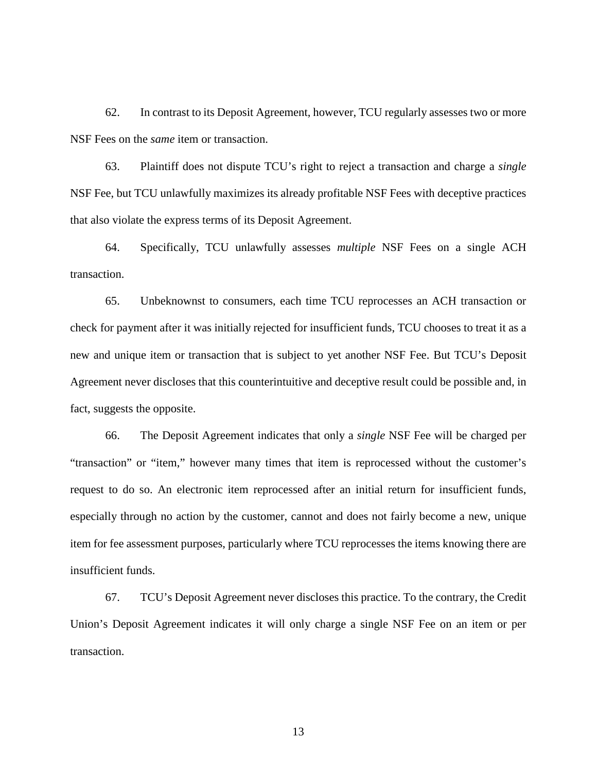62. In contrast to its Deposit Agreement, however, TCU regularly assesses two or more NSF Fees on the *same* item or transaction.

63. Plaintiff does not dispute TCU's right to reject a transaction and charge a *single* NSF Fee, but TCU unlawfully maximizes its already profitable NSF Fees with deceptive practices that also violate the express terms of its Deposit Agreement.

64. Specifically, TCU unlawfully assesses *multiple* NSF Fees on a single ACH transaction.

65. Unbeknownst to consumers, each time TCU reprocesses an ACH transaction or check for payment after it was initially rejected for insufficient funds, TCU chooses to treat it as a new and unique item or transaction that is subject to yet another NSF Fee. But TCU's Deposit Agreement never discloses that this counterintuitive and deceptive result could be possible and, in fact, suggests the opposite.

66. The Deposit Agreement indicates that only a *single* NSF Fee will be charged per "transaction" or "item," however many times that item is reprocessed without the customer's request to do so. An electronic item reprocessed after an initial return for insufficient funds, especially through no action by the customer, cannot and does not fairly become a new, unique item for fee assessment purposes, particularly where TCU reprocesses the items knowing there are insufficient funds.

67. TCU's Deposit Agreement never discloses this practice. To the contrary, the Credit Union's Deposit Agreement indicates it will only charge a single NSF Fee on an item or per transaction.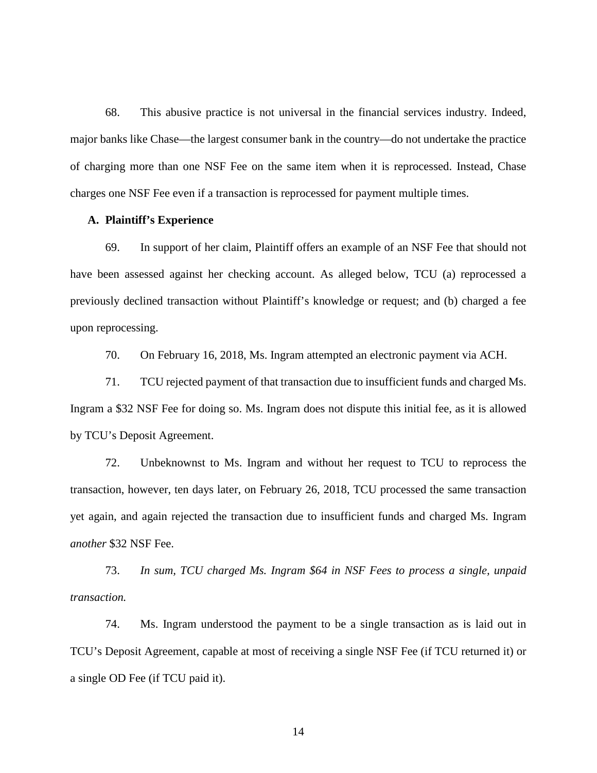68. This abusive practice is not universal in the financial services industry. Indeed, major banks like Chase—the largest consumer bank in the country—do not undertake the practice of charging more than one NSF Fee on the same item when it is reprocessed. Instead, Chase charges one NSF Fee even if a transaction is reprocessed for payment multiple times.

#### **A. Plaintiff's Experience**

69. In support of her claim, Plaintiff offers an example of an NSF Fee that should not have been assessed against her checking account. As alleged below, TCU (a) reprocessed a previously declined transaction without Plaintiff's knowledge or request; and (b) charged a fee upon reprocessing.

70. On February 16, 2018, Ms. Ingram attempted an electronic payment via ACH.

71. TCU rejected payment of that transaction due to insufficient funds and charged Ms. Ingram a \$32 NSF Fee for doing so. Ms. Ingram does not dispute this initial fee, as it is allowed by TCU's Deposit Agreement.

72. Unbeknownst to Ms. Ingram and without her request to TCU to reprocess the transaction, however, ten days later, on February 26, 2018, TCU processed the same transaction yet again, and again rejected the transaction due to insufficient funds and charged Ms. Ingram *another* \$32 NSF Fee.

73. *In sum, TCU charged Ms. Ingram \$64 in NSF Fees to process a single, unpaid transaction.*

74. Ms. Ingram understood the payment to be a single transaction as is laid out in TCU's Deposit Agreement, capable at most of receiving a single NSF Fee (if TCU returned it) or a single OD Fee (if TCU paid it).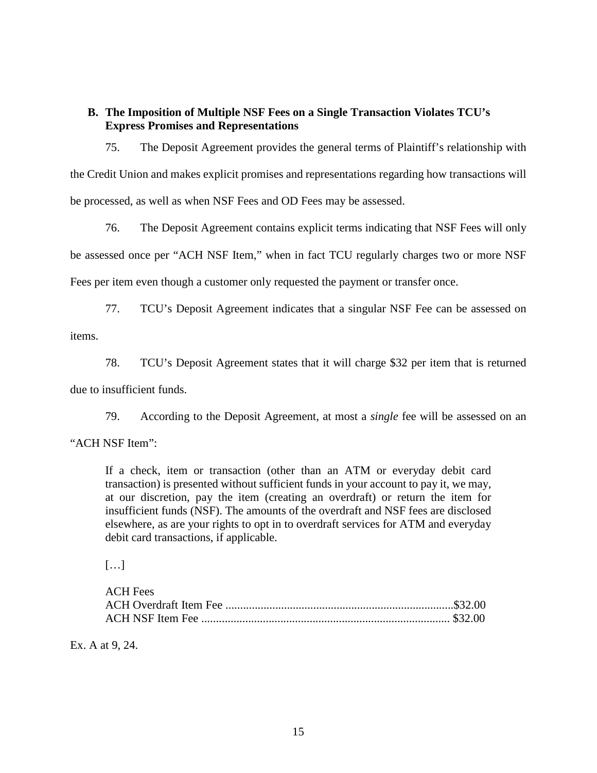# **B. The Imposition of Multiple NSF Fees on a Single Transaction Violates TCU's Express Promises and Representations**

75. The Deposit Agreement provides the general terms of Plaintiff's relationship with the Credit Union and makes explicit promises and representations regarding how transactions will be processed, as well as when NSF Fees and OD Fees may be assessed.

76. The Deposit Agreement contains explicit terms indicating that NSF Fees will only be assessed once per "ACH NSF Item," when in fact TCU regularly charges two or more NSF Fees per item even though a customer only requested the payment or transfer once.

77. TCU's Deposit Agreement indicates that a singular NSF Fee can be assessed on items.

78. TCU's Deposit Agreement states that it will charge \$32 per item that is returned due to insufficient funds.

79. According to the Deposit Agreement, at most a *single* fee will be assessed on an

"ACH NSF Item":

If a check, item or transaction (other than an ATM or everyday debit card transaction) is presented without sufficient funds in your account to pay it, we may, at our discretion, pay the item (creating an overdraft) or return the item for insufficient funds (NSF). The amounts of the overdraft and NSF fees are disclosed elsewhere, as are your rights to opt in to overdraft services for ATM and everyday debit card transactions, if applicable.

 $\left[\ldots\right]$ 

| <b>ACH Fees</b> |  |
|-----------------|--|
|                 |  |
|                 |  |

Ex. A at 9, 24.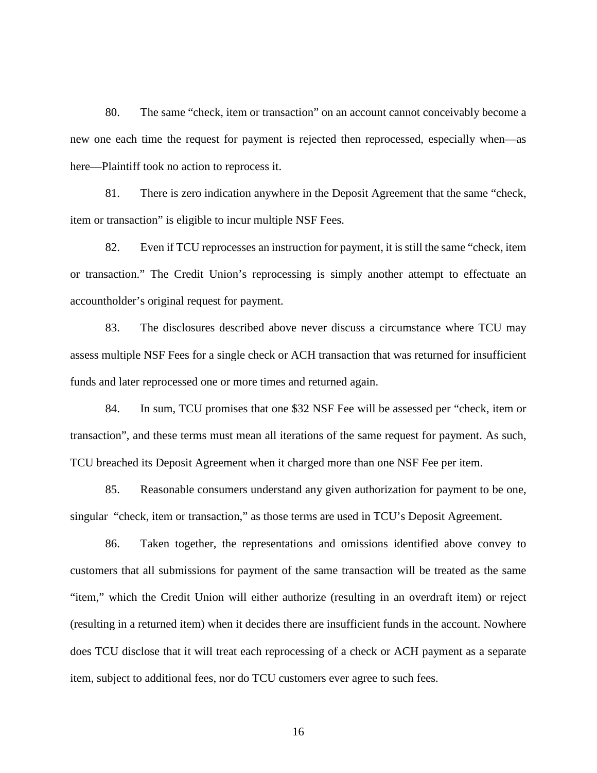80. The same "check, item or transaction" on an account cannot conceivably become a new one each time the request for payment is rejected then reprocessed, especially when—as here—Plaintiff took no action to reprocess it.

81. There is zero indication anywhere in the Deposit Agreement that the same "check, item or transaction" is eligible to incur multiple NSF Fees.

82. Even if TCU reprocesses an instruction for payment, it is still the same "check, item or transaction." The Credit Union's reprocessing is simply another attempt to effectuate an accountholder's original request for payment.

83. The disclosures described above never discuss a circumstance where TCU may assess multiple NSF Fees for a single check or ACH transaction that was returned for insufficient funds and later reprocessed one or more times and returned again.

84. In sum, TCU promises that one \$32 NSF Fee will be assessed per "check, item or transaction", and these terms must mean all iterations of the same request for payment. As such, TCU breached its Deposit Agreement when it charged more than one NSF Fee per item.

85. Reasonable consumers understand any given authorization for payment to be one, singular "check, item or transaction," as those terms are used in TCU's Deposit Agreement.

86. Taken together, the representations and omissions identified above convey to customers that all submissions for payment of the same transaction will be treated as the same "item," which the Credit Union will either authorize (resulting in an overdraft item) or reject (resulting in a returned item) when it decides there are insufficient funds in the account. Nowhere does TCU disclose that it will treat each reprocessing of a check or ACH payment as a separate item, subject to additional fees, nor do TCU customers ever agree to such fees.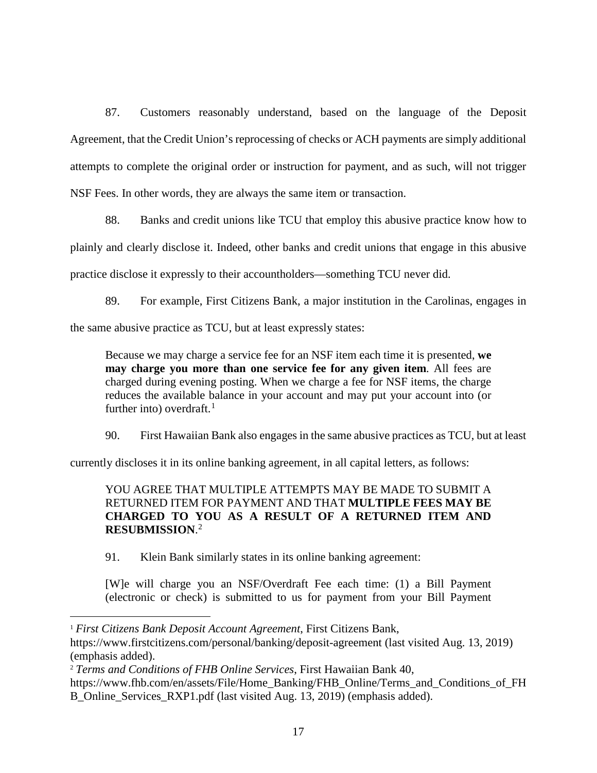87. Customers reasonably understand, based on the language of the Deposit Agreement, that the Credit Union's reprocessing of checks or ACH payments are simply additional attempts to complete the original order or instruction for payment, and as such, will not trigger NSF Fees. In other words, they are always the same item or transaction.

88. Banks and credit unions like TCU that employ this abusive practice know how to plainly and clearly disclose it. Indeed, other banks and credit unions that engage in this abusive practice disclose it expressly to their accountholders—something TCU never did.

89. For example, First Citizens Bank, a major institution in the Carolinas, engages in

the same abusive practice as TCU, but at least expressly states:

Because we may charge a service fee for an NSF item each time it is presented, **we may charge you more than one service fee for any given item**. All fees are charged during evening posting. When we charge a fee for NSF items, the charge reduces the available balance in your account and may put your account into (or further into) overdraft. $<sup>1</sup>$  $<sup>1</sup>$  $<sup>1</sup>$ </sup>

90. First Hawaiian Bank also engages in the same abusive practices as TCU, but at least

currently discloses it in its online banking agreement, in all capital letters, as follows:

# YOU AGREE THAT MULTIPLE ATTEMPTS MAY BE MADE TO SUBMIT A RETURNED ITEM FOR PAYMENT AND THAT **MULTIPLE FEES MAY BE CHARGED TO YOU AS A RESULT OF A RETURNED ITEM AND RESUBMISSION**. [2](#page-16-1)

91. Klein Bank similarly states in its online banking agreement:

[W]e will charge you an NSF/Overdraft Fee each time: (1) a Bill Payment (electronic or check) is submitted to us for payment from your Bill Payment

l

<span id="page-16-0"></span><sup>1</sup> *First Citizens Bank Deposit Account Agreement*, First Citizens Bank,

https://www.firstcitizens.com/personal/banking/deposit-agreement (last visited Aug. 13, 2019) (emphasis added).

<span id="page-16-1"></span><sup>2</sup> *Terms and Conditions of FHB Online Services*, First Hawaiian Bank 40,

https://www.fhb.com/en/assets/File/Home\_Banking/FHB\_Online/Terms\_and\_Conditions\_of\_FH B\_Online\_Services\_RXP1.pdf (last visited Aug. 13, 2019) (emphasis added).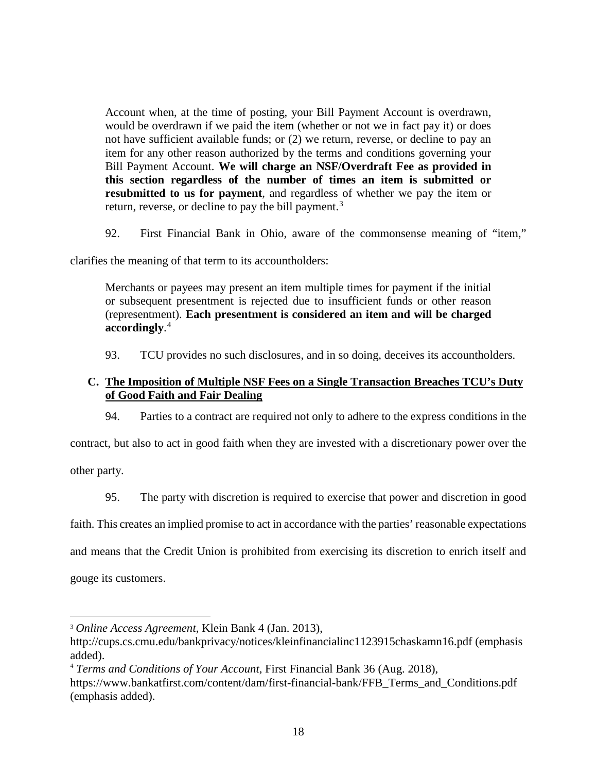Account when, at the time of posting, your Bill Payment Account is overdrawn, would be overdrawn if we paid the item (whether or not we in fact pay it) or does not have sufficient available funds; or (2) we return, reverse, or decline to pay an item for any other reason authorized by the terms and conditions governing your Bill Payment Account. **We will charge an NSF/Overdraft Fee as provided in this section regardless of the number of times an item is submitted or resubmitted to us for payment**, and regardless of whether we pay the item or return, reverse, or decline to pay the bill payment.<sup>[3](#page-17-0)</sup>

92. First Financial Bank in Ohio, aware of the commonsense meaning of "item,"

clarifies the meaning of that term to its accountholders:

Merchants or payees may present an item multiple times for payment if the initial or subsequent presentment is rejected due to insufficient funds or other reason (representment). **Each presentment is considered an item and will be charged accordingly**. [4](#page-17-1)

93. TCU provides no such disclosures, and in so doing, deceives its accountholders.

# **C. The Imposition of Multiple NSF Fees on a Single Transaction Breaches TCU's Duty of Good Faith and Fair Dealing**

94. Parties to a contract are required not only to adhere to the express conditions in the

contract, but also to act in good faith when they are invested with a discretionary power over the

other party.

 $\overline{\phantom{a}}$ 

95. The party with discretion is required to exercise that power and discretion in good

faith. This creates an implied promise to act in accordance with the parties' reasonable expectations

and means that the Credit Union is prohibited from exercising its discretion to enrich itself and

gouge its customers.

<span id="page-17-0"></span><sup>3</sup> *Online Access Agreement*, Klein Bank 4 (Jan. 2013),

http://cups.cs.cmu.edu/bankprivacy/notices/kleinfinancialinc1123915chaskamn16.pdf (emphasis added).

<span id="page-17-1"></span><sup>4</sup> *Terms and Conditions of Your Account*, First Financial Bank 36 (Aug. 2018),

https://www.bankatfirst.com/content/dam/first-financial-bank/FFB\_Terms\_and\_Conditions.pdf (emphasis added).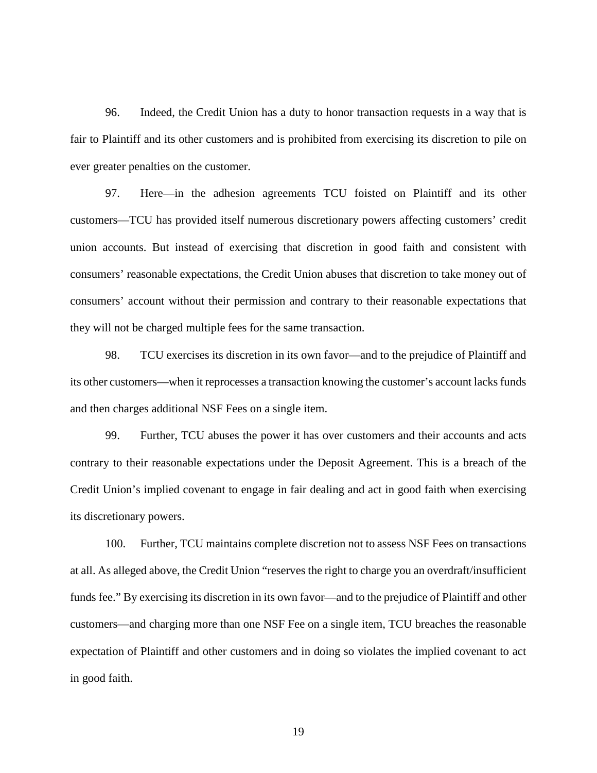96. Indeed, the Credit Union has a duty to honor transaction requests in a way that is fair to Plaintiff and its other customers and is prohibited from exercising its discretion to pile on ever greater penalties on the customer.

97. Here—in the adhesion agreements TCU foisted on Plaintiff and its other customers—TCU has provided itself numerous discretionary powers affecting customers' credit union accounts. But instead of exercising that discretion in good faith and consistent with consumers' reasonable expectations, the Credit Union abuses that discretion to take money out of consumers' account without their permission and contrary to their reasonable expectations that they will not be charged multiple fees for the same transaction.

98. TCU exercises its discretion in its own favor—and to the prejudice of Plaintiff and its other customers—when it reprocesses a transaction knowing the customer's account lacks funds and then charges additional NSF Fees on a single item.

99. Further, TCU abuses the power it has over customers and their accounts and acts contrary to their reasonable expectations under the Deposit Agreement. This is a breach of the Credit Union's implied covenant to engage in fair dealing and act in good faith when exercising its discretionary powers.

100. Further, TCU maintains complete discretion not to assess NSF Fees on transactions at all. As alleged above, the Credit Union "reserves the right to charge you an overdraft/insufficient funds fee." By exercising its discretion in its own favor—and to the prejudice of Plaintiff and other customers—and charging more than one NSF Fee on a single item, TCU breaches the reasonable expectation of Plaintiff and other customers and in doing so violates the implied covenant to act in good faith.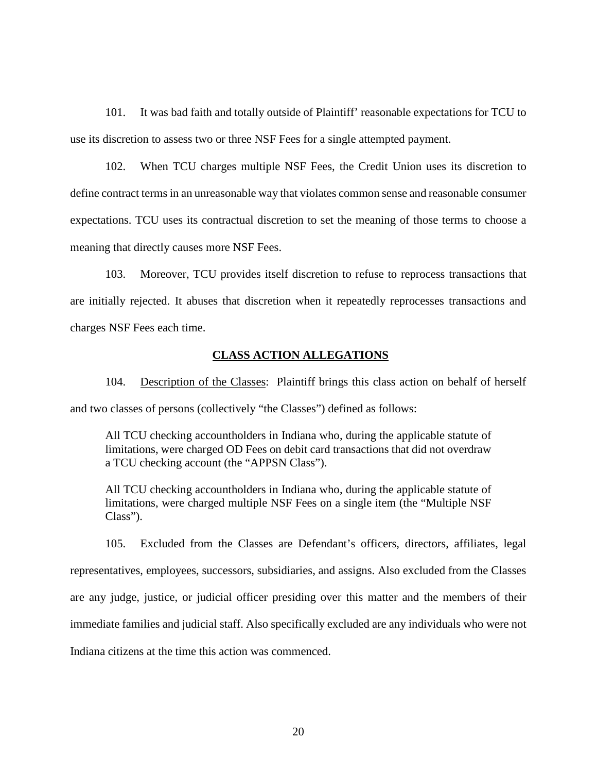101. It was bad faith and totally outside of Plaintiff' reasonable expectations for TCU to use its discretion to assess two or three NSF Fees for a single attempted payment.

102. When TCU charges multiple NSF Fees, the Credit Union uses its discretion to define contract terms in an unreasonable way that violates common sense and reasonable consumer expectations. TCU uses its contractual discretion to set the meaning of those terms to choose a meaning that directly causes more NSF Fees.

103. Moreover, TCU provides itself discretion to refuse to reprocess transactions that are initially rejected. It abuses that discretion when it repeatedly reprocesses transactions and charges NSF Fees each time.

#### **CLASS ACTION ALLEGATIONS**

104. Description of the Classes: Plaintiff brings this class action on behalf of herself and two classes of persons (collectively "the Classes") defined as follows:

All TCU checking accountholders in Indiana who, during the applicable statute of limitations, were charged OD Fees on debit card transactions that did not overdraw a TCU checking account (the "APPSN Class").

All TCU checking accountholders in Indiana who, during the applicable statute of limitations, were charged multiple NSF Fees on a single item (the "Multiple NSF Class").

105. Excluded from the Classes are Defendant's officers, directors, affiliates, legal representatives, employees, successors, subsidiaries, and assigns. Also excluded from the Classes are any judge, justice, or judicial officer presiding over this matter and the members of their immediate families and judicial staff. Also specifically excluded are any individuals who were not Indiana citizens at the time this action was commenced.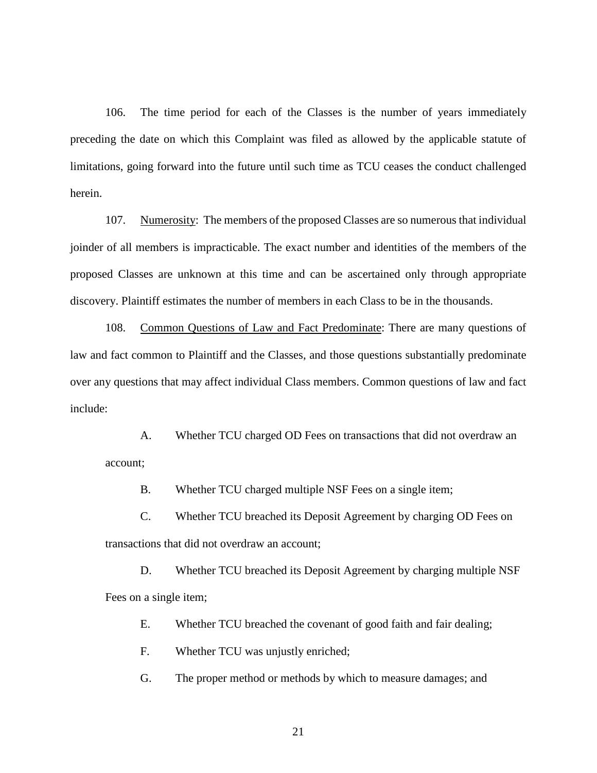106. The time period for each of the Classes is the number of years immediately preceding the date on which this Complaint was filed as allowed by the applicable statute of limitations, going forward into the future until such time as TCU ceases the conduct challenged herein.

107. Numerosity: The members of the proposed Classes are so numerous that individual joinder of all members is impracticable. The exact number and identities of the members of the proposed Classes are unknown at this time and can be ascertained only through appropriate discovery. Plaintiff estimates the number of members in each Class to be in the thousands.

108. Common Questions of Law and Fact Predominate: There are many questions of law and fact common to Plaintiff and the Classes, and those questions substantially predominate over any questions that may affect individual Class members. Common questions of law and fact include:

A. Whether TCU charged OD Fees on transactions that did not overdraw an account;

B. Whether TCU charged multiple NSF Fees on a single item;

C. Whether TCU breached its Deposit Agreement by charging OD Fees on transactions that did not overdraw an account;

D. Whether TCU breached its Deposit Agreement by charging multiple NSF Fees on a single item;

E. Whether TCU breached the covenant of good faith and fair dealing;

F. Whether TCU was unjustly enriched;

G. The proper method or methods by which to measure damages; and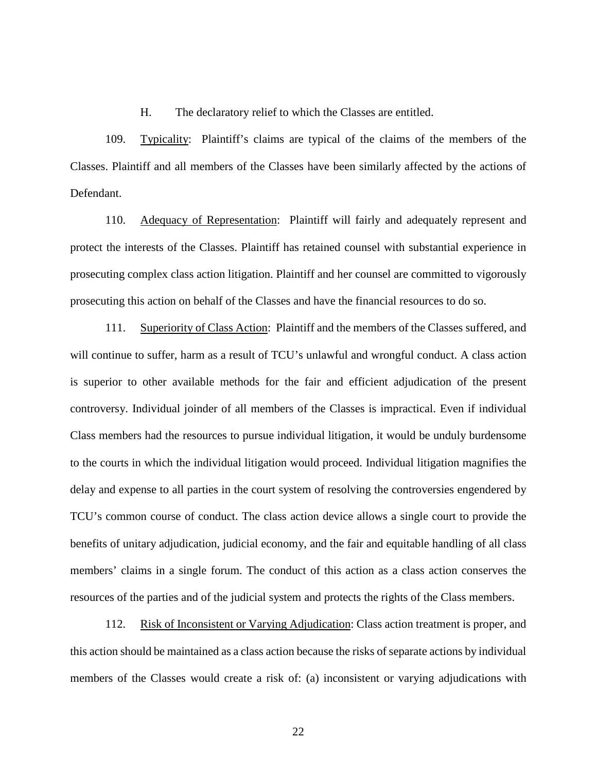H. The declaratory relief to which the Classes are entitled.

109. Typicality: Plaintiff's claims are typical of the claims of the members of the Classes. Plaintiff and all members of the Classes have been similarly affected by the actions of Defendant.

110. Adequacy of Representation: Plaintiff will fairly and adequately represent and protect the interests of the Classes. Plaintiff has retained counsel with substantial experience in prosecuting complex class action litigation. Plaintiff and her counsel are committed to vigorously prosecuting this action on behalf of the Classes and have the financial resources to do so.

111. Superiority of Class Action: Plaintiff and the members of the Classes suffered, and will continue to suffer, harm as a result of TCU's unlawful and wrongful conduct. A class action is superior to other available methods for the fair and efficient adjudication of the present controversy. Individual joinder of all members of the Classes is impractical. Even if individual Class members had the resources to pursue individual litigation, it would be unduly burdensome to the courts in which the individual litigation would proceed. Individual litigation magnifies the delay and expense to all parties in the court system of resolving the controversies engendered by TCU's common course of conduct. The class action device allows a single court to provide the benefits of unitary adjudication, judicial economy, and the fair and equitable handling of all class members' claims in a single forum. The conduct of this action as a class action conserves the resources of the parties and of the judicial system and protects the rights of the Class members.

112. Risk of Inconsistent or Varying Adjudication: Class action treatment is proper, and this action should be maintained as a class action because the risks of separate actions by individual members of the Classes would create a risk of: (a) inconsistent or varying adjudications with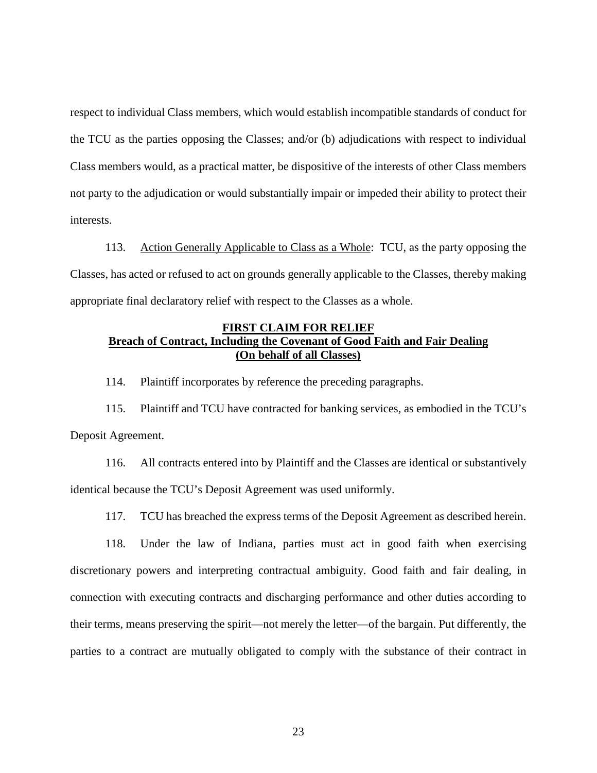respect to individual Class members, which would establish incompatible standards of conduct for the TCU as the parties opposing the Classes; and/or (b) adjudications with respect to individual Class members would, as a practical matter, be dispositive of the interests of other Class members not party to the adjudication or would substantially impair or impeded their ability to protect their interests.

113. Action Generally Applicable to Class as a Whole: TCU, as the party opposing the Classes, has acted or refused to act on grounds generally applicable to the Classes, thereby making appropriate final declaratory relief with respect to the Classes as a whole.

## **FIRST CLAIM FOR RELIEF Breach of Contract, Including the Covenant of Good Faith and Fair Dealing (On behalf of all Classes)**

114. Plaintiff incorporates by reference the preceding paragraphs.

115. Plaintiff and TCU have contracted for banking services, as embodied in the TCU's Deposit Agreement.

116. All contracts entered into by Plaintiff and the Classes are identical or substantively identical because the TCU's Deposit Agreement was used uniformly.

117. TCU has breached the express terms of the Deposit Agreement as described herein.

118. Under the law of Indiana, parties must act in good faith when exercising discretionary powers and interpreting contractual ambiguity. Good faith and fair dealing, in connection with executing contracts and discharging performance and other duties according to their terms, means preserving the spirit—not merely the letter—of the bargain. Put differently, the parties to a contract are mutually obligated to comply with the substance of their contract in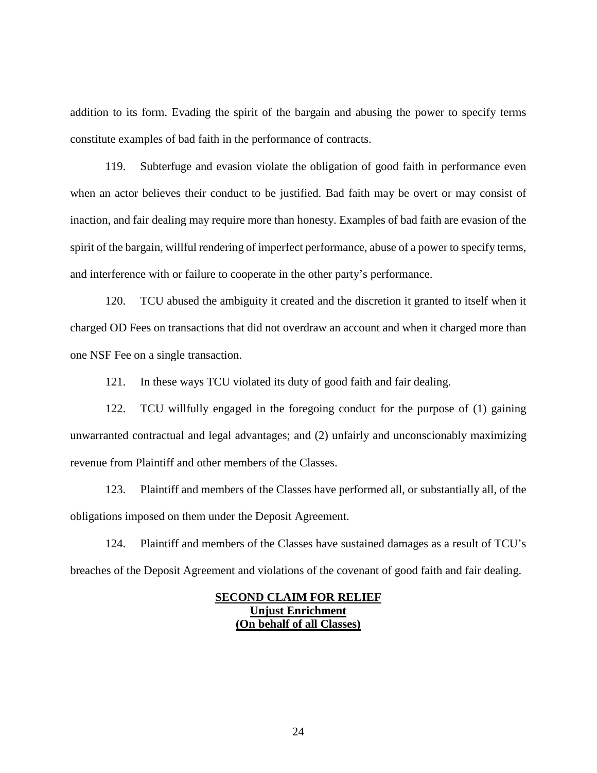addition to its form. Evading the spirit of the bargain and abusing the power to specify terms constitute examples of bad faith in the performance of contracts.

119. Subterfuge and evasion violate the obligation of good faith in performance even when an actor believes their conduct to be justified. Bad faith may be overt or may consist of inaction, and fair dealing may require more than honesty. Examples of bad faith are evasion of the spirit of the bargain, willful rendering of imperfect performance, abuse of a power to specify terms, and interference with or failure to cooperate in the other party's performance.

120. TCU abused the ambiguity it created and the discretion it granted to itself when it charged OD Fees on transactions that did not overdraw an account and when it charged more than one NSF Fee on a single transaction.

121. In these ways TCU violated its duty of good faith and fair dealing.

122. TCU willfully engaged in the foregoing conduct for the purpose of (1) gaining unwarranted contractual and legal advantages; and (2) unfairly and unconscionably maximizing revenue from Plaintiff and other members of the Classes.

123. Plaintiff and members of the Classes have performed all, or substantially all, of the obligations imposed on them under the Deposit Agreement.

124. Plaintiff and members of the Classes have sustained damages as a result of TCU's breaches of the Deposit Agreement and violations of the covenant of good faith and fair dealing.

## **SECOND CLAIM FOR RELIEF Unjust Enrichment (On behalf of all Classes)**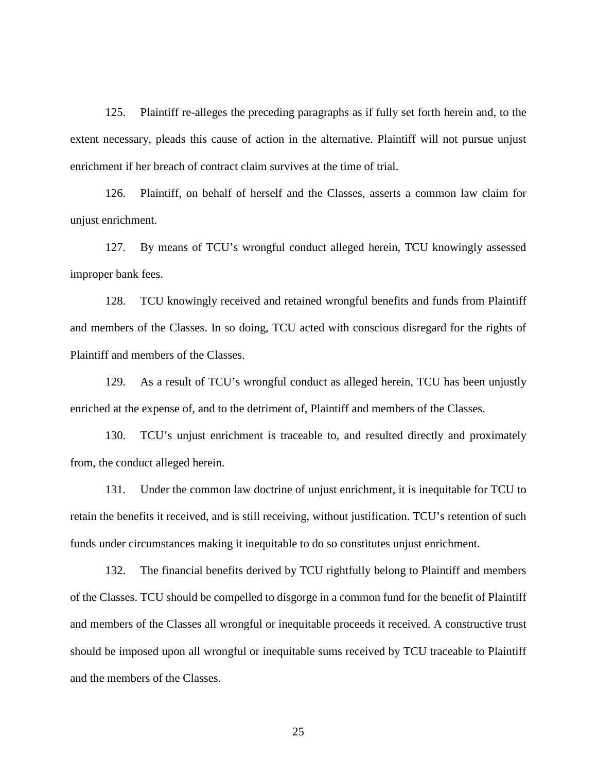125. Plaintiff re-alleges the preceding paragraphs as if fully set forth herein and, to the extent necessary, pleads this cause of action in the alternative. Plaintiff will not pursue unjust enrichment if her breach of contract claim survives at the time of trial.

126. Plaintiff, on behalf of herself and the Classes, asserts a common law claim for unjust enrichment.

127. By means of TCU's wrongful conduct alleged herein, TCU knowingly assessed improper bank fees.

128. TCU knowingly received and retained wrongful benefits and funds from Plaintiff and members of the Classes. In so doing, TCU acted with conscious disregard for the rights of Plaintiff and members of the Classes.

129. As a result of TCU's wrongful conduct as alleged herein, TCU has been unjustly enriched at the expense of, and to the detriment of, Plaintiff and members of the Classes.

130. TCU's unjust enrichment is traceable to, and resulted directly and proximately from, the conduct alleged herein.

131. Under the common law doctrine of unjust enrichment, it is inequitable for TCU to retain the benefits it received, and is still receiving, without justification. TCU's retention of such funds under circumstances making it inequitable to do so constitutes unjust enrichment.

132. The financial benefits derived by TCU rightfully belong to Plaintiff and members of the Classes. TCU should be compelled to disgorge in a common fund for the benefit of Plaintiff and members of the Classes all wrongful or inequitable proceeds it received. A constructive trust should be imposed upon all wrongful or inequitable sums received by TCU traceable to Plaintiff and the members of the Classes.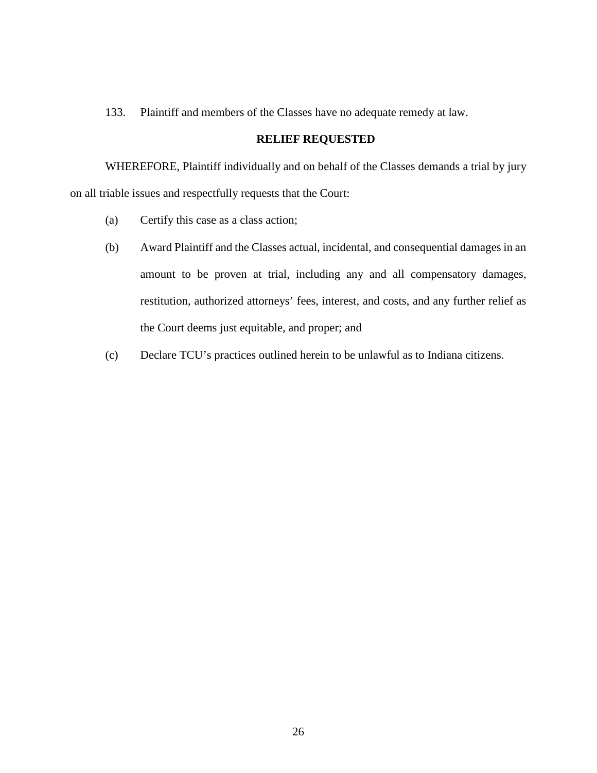133. Plaintiff and members of the Classes have no adequate remedy at law.

# **RELIEF REQUESTED**

WHEREFORE, Plaintiff individually and on behalf of the Classes demands a trial by jury on all triable issues and respectfully requests that the Court:

- (a) Certify this case as a class action;
- (b) Award Plaintiff and the Classes actual, incidental, and consequential damages in an amount to be proven at trial, including any and all compensatory damages, restitution, authorized attorneys' fees, interest, and costs, and any further relief as the Court deems just equitable, and proper; and
- (c) Declare TCU's practices outlined herein to be unlawful as to Indiana citizens.